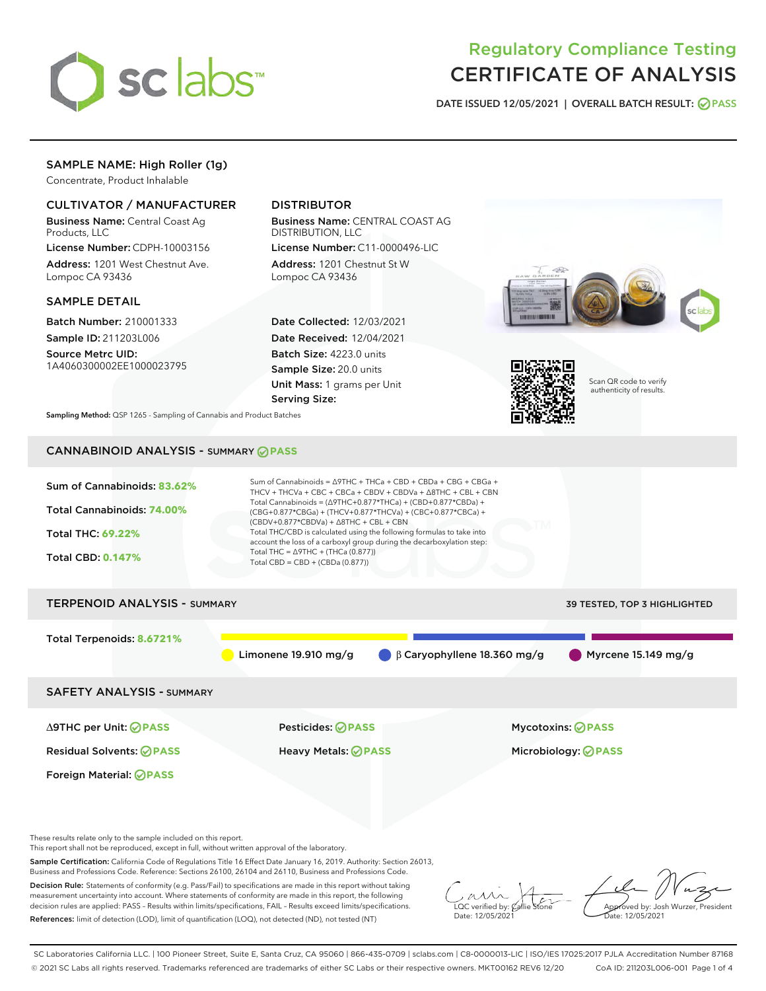

# Regulatory Compliance Testing CERTIFICATE OF ANALYSIS

DATE ISSUED 12/05/2021 | OVERALL BATCH RESULT: @ PASS

# SAMPLE NAME: High Roller (1g)

Concentrate, Product Inhalable

# CULTIVATOR / MANUFACTURER

Business Name: Central Coast Ag Products, LLC

License Number: CDPH-10003156 Address: 1201 West Chestnut Ave. Lompoc CA 93436

#### SAMPLE DETAIL

Batch Number: 210001333 Sample ID: 211203L006

Source Metrc UID: 1A4060300002EE1000023795

# DISTRIBUTOR

Business Name: CENTRAL COAST AG DISTRIBUTION, LLC

License Number: C11-0000496-LIC Address: 1201 Chestnut St W Lompoc CA 93436

Date Collected: 12/03/2021 Date Received: 12/04/2021 Batch Size: 4223.0 units Sample Size: 20.0 units Unit Mass: 1 grams per Unit Serving Size:





Scan QR code to verify authenticity of results.

Sampling Method: QSP 1265 - Sampling of Cannabis and Product Batches

# CANNABINOID ANALYSIS - SUMMARY **PASS**



These results relate only to the sample included on this report.

This report shall not be reproduced, except in full, without written approval of the laboratory.

Sample Certification: California Code of Regulations Title 16 Effect Date January 16, 2019. Authority: Section 26013, Business and Professions Code. Reference: Sections 26100, 26104 and 26110, Business and Professions Code.

Decision Rule: Statements of conformity (e.g. Pass/Fail) to specifications are made in this report without taking measurement uncertainty into account. Where statements of conformity are made in this report, the following decision rules are applied: PASS – Results within limits/specifications, FAIL – Results exceed limits/specifications. References: limit of detection (LOD), limit of quantification (LOQ), not detected (ND), not tested (NT)

 $\overline{\text{C}}$  verified by:  $\mathcal C$ Date: 12/05/2021

Aved by: Josh Wurzer, President ate: 12/05/2021

SC Laboratories California LLC. | 100 Pioneer Street, Suite E, Santa Cruz, CA 95060 | 866-435-0709 | sclabs.com | C8-0000013-LIC | ISO/IES 17025:2017 PJLA Accreditation Number 87168 © 2021 SC Labs all rights reserved. Trademarks referenced are trademarks of either SC Labs or their respective owners. MKT00162 REV6 12/20 CoA ID: 211203L006-001 Page 1 of 4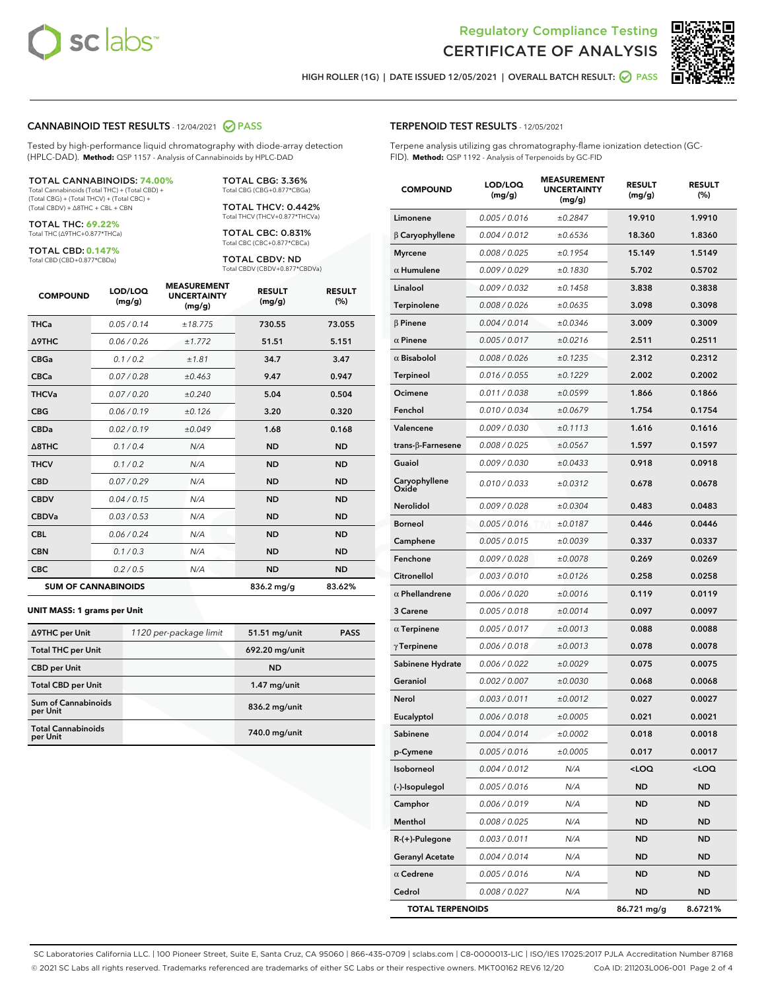



HIGH ROLLER (1G) | DATE ISSUED 12/05/2021 | OVERALL BATCH RESULT: O PASS

#### CANNABINOID TEST RESULTS - 12/04/2021 2 PASS

Tested by high-performance liquid chromatography with diode-array detection (HPLC-DAD). **Method:** QSP 1157 - Analysis of Cannabinoids by HPLC-DAD

#### TOTAL CANNABINOIDS: **74.00%**

Total Cannabinoids (Total THC) + (Total CBD) + (Total CBG) + (Total THCV) + (Total CBC) + (Total CBDV) + ∆8THC + CBL + CBN

TOTAL THC: **69.22%** Total THC (∆9THC+0.877\*THCa)

TOTAL CBD: **0.147%**

Total CBD (CBD+0.877\*CBDa)

TOTAL CBG: 3.36% Total CBG (CBG+0.877\*CBGa)

TOTAL THCV: 0.442% Total THCV (THCV+0.877\*THCVa)

TOTAL CBC: 0.831% Total CBC (CBC+0.877\*CBCa)

TOTAL CBDV: ND Total CBDV (CBDV+0.877\*CBDVa)

| <b>COMPOUND</b>  | LOD/LOQ<br>(mg/g)          | <b>MEASUREMENT</b><br><b>UNCERTAINTY</b><br>(mg/g) | <b>RESULT</b><br>(mg/g) | <b>RESULT</b><br>(%) |
|------------------|----------------------------|----------------------------------------------------|-------------------------|----------------------|
| <b>THCa</b>      | 0.05/0.14                  | ±18.775                                            | 730.55                  | 73.055               |
| <b>A9THC</b>     | 0.06 / 0.26                | ±1.772                                             | 51.51                   | 5.151                |
| <b>CBGa</b>      | 0.1 / 0.2                  | ±1.81                                              | 34.7                    | 3.47                 |
| <b>CBCa</b>      | 0.07/0.28                  | ±0.463                                             | 9.47                    | 0.947                |
| <b>THCVa</b>     | 0.07 / 0.20                | ±0.240                                             | 5.04                    | 0.504                |
| <b>CBG</b>       | 0.06/0.19                  | ±0.126                                             | 3.20                    | 0.320                |
| <b>CBDa</b>      | 0.02/0.19                  | ±0.049                                             | 1.68                    | 0.168                |
| $\triangle$ 8THC | 0.1/0.4                    | N/A                                                | <b>ND</b>               | <b>ND</b>            |
| <b>THCV</b>      | 0.1 / 0.2                  | N/A                                                | <b>ND</b>               | <b>ND</b>            |
| <b>CBD</b>       | 0.07/0.29                  | N/A                                                | <b>ND</b>               | <b>ND</b>            |
| <b>CBDV</b>      | 0.04 / 0.15                | N/A                                                | <b>ND</b>               | <b>ND</b>            |
| <b>CBDVa</b>     | 0.03 / 0.53                | N/A                                                | <b>ND</b>               | <b>ND</b>            |
| <b>CBL</b>       | 0.06 / 0.24                | N/A                                                | <b>ND</b>               | <b>ND</b>            |
| <b>CBN</b>       | 0.1/0.3                    | N/A                                                | <b>ND</b>               | <b>ND</b>            |
| <b>CBC</b>       | 0.2 / 0.5                  | N/A                                                | <b>ND</b>               | <b>ND</b>            |
|                  | <b>SUM OF CANNABINOIDS</b> |                                                    | 836.2 mg/g              | 83.62%               |

#### **UNIT MASS: 1 grams per Unit**

| ∆9THC per Unit                         | 1120 per-package limit | 51.51 mg/unit  | <b>PASS</b> |
|----------------------------------------|------------------------|----------------|-------------|
| <b>Total THC per Unit</b>              |                        | 692.20 mg/unit |             |
| <b>CBD</b> per Unit                    |                        | <b>ND</b>      |             |
| <b>Total CBD per Unit</b>              |                        | $1.47$ mg/unit |             |
| <b>Sum of Cannabinoids</b><br>per Unit |                        | 836.2 mg/unit  |             |
| <b>Total Cannabinoids</b><br>per Unit  |                        | 740.0 mg/unit  |             |

# TERPENOID TEST RESULTS - 12/05/2021

Terpene analysis utilizing gas chromatography-flame ionization detection (GC-FID). **Method:** QSP 1192 - Analysis of Terpenoids by GC-FID

| <b>COMPOUND</b>          | LOD/LOQ<br>(mg/g) | <b>MEASUREMENT</b><br><b>UNCERTAINTY</b><br>(mg/g) | <b>RESULT</b><br>(mg/g)                         | <b>RESULT</b><br>(%) |
|--------------------------|-------------------|----------------------------------------------------|-------------------------------------------------|----------------------|
| Limonene                 | 0.005 / 0.016     | ±0.2847                                            | 19.910                                          | 1.9910               |
| $\beta$ Caryophyllene    | 0.004 / 0.012     | ±0.6536                                            | 18.360                                          | 1.8360               |
| <b>Myrcene</b>           | 0.008 / 0.025     | ±0.1954                                            | 15.149                                          | 1.5149               |
| $\alpha$ Humulene        | 0.009 / 0.029     | ±0.1830                                            | 5.702                                           | 0.5702               |
| Linalool                 | 0.009 / 0.032     | ±0.1458                                            | 3.838                                           | 0.3838               |
| Terpinolene              | 0.008 / 0.026     | ±0.0635                                            | 3.098                                           | 0.3098               |
| $\beta$ Pinene           | 0.004 / 0.014     | ±0.0346                                            | 3.009                                           | 0.3009               |
| $\alpha$ Pinene          | 0.005 / 0.017     | ±0.0216                                            | 2.511                                           | 0.2511               |
| $\alpha$ Bisabolol       | 0.008 / 0.026     | ±0.1235                                            | 2.312                                           | 0.2312               |
| <b>Terpineol</b>         | 0.016 / 0.055     | ±0.1229                                            | 2.002                                           | 0.2002               |
| Ocimene                  | 0.011 / 0.038     | ±0.0599                                            | 1.866                                           | 0.1866               |
| Fenchol                  | 0.010 / 0.034     | ±0.0679                                            | 1.754                                           | 0.1754               |
| Valencene                | 0.009 / 0.030     | ±0.1113                                            | 1.616                                           | 0.1616               |
| $trans-\beta$ -Farnesene | 0.008 / 0.025     | ±0.0567                                            | 1.597                                           | 0.1597               |
| Guaiol                   | 0.009 / 0.030     | ±0.0433                                            | 0.918                                           | 0.0918               |
| Caryophyllene<br>Oxide   | 0.010 / 0.033     | ±0.0312                                            | 0.678                                           | 0.0678               |
| Nerolidol                | 0.009 / 0.028     | ±0.0304                                            | 0.483                                           | 0.0483               |
| <b>Borneol</b>           | 0.005 / 0.016     | ±0.0187                                            | 0.446                                           | 0.0446               |
| Camphene                 | 0.005 / 0.015     | ±0.0039                                            | 0.337                                           | 0.0337               |
| Fenchone                 | 0.009 / 0.028     | ±0.0078                                            | 0.269                                           | 0.0269               |
| Citronellol              | 0.003 / 0.010     | ±0.0126                                            | 0.258                                           | 0.0258               |
| $\alpha$ Phellandrene    | 0.006 / 0.020     | ±0.0016                                            | 0.119                                           | 0.0119               |
| 3 Carene                 | 0.005 / 0.018     | ±0.0014                                            | 0.097                                           | 0.0097               |
| $\alpha$ Terpinene       | 0.005 / 0.017     | ±0.0013                                            | 0.088                                           | 0.0088               |
| $\gamma$ Terpinene       | 0.006 / 0.018     | ±0.0013                                            | 0.078                                           | 0.0078               |
| Sabinene Hydrate         | 0.006 / 0.022     | ±0.0029                                            | 0.075                                           | 0.0075               |
| Geraniol                 | 0.002 / 0.007     | ±0.0030                                            | 0.068                                           | 0.0068               |
| Nerol                    | 0.003 / 0.011     | ±0.0012                                            | 0.027                                           | 0.0027               |
| Eucalyptol               | 0.006 / 0.018     | ±0.0005                                            | 0.021                                           | 0.0021               |
| Sabinene                 | 0.004 / 0.014     | ±0.0002                                            | 0.018                                           | 0.0018               |
| p-Cymene                 | 0.005 / 0.016     | ±0.0005                                            | 0.017                                           | 0.0017               |
| Isoborneol               | 0.004 / 0.012     | N/A                                                | <loq< th=""><th><loq< th=""></loq<></th></loq<> | <loq< th=""></loq<>  |
| (-)-Isopulegol           | 0.005 / 0.016     | N/A                                                | <b>ND</b>                                       | <b>ND</b>            |
| Camphor                  | 0.006 / 0.019     | N/A                                                | ND                                              | ND                   |
| Menthol                  | 0.008 / 0.025     | N/A                                                | ND                                              | ND                   |
| R-(+)-Pulegone           | 0.003 / 0.011     | N/A                                                | <b>ND</b>                                       | <b>ND</b>            |
| <b>Geranyl Acetate</b>   | 0.004 / 0.014     | N/A                                                | ND                                              | ND                   |
| $\alpha$ Cedrene         | 0.005 / 0.016     | N/A                                                | ND                                              | ND                   |
| Cedrol                   | 0.008 / 0.027     | N/A                                                | <b>ND</b>                                       | ND                   |
| <b>TOTAL TERPENOIDS</b>  |                   |                                                    | 86.721 mg/g                                     | 8.6721%              |

SC Laboratories California LLC. | 100 Pioneer Street, Suite E, Santa Cruz, CA 95060 | 866-435-0709 | sclabs.com | C8-0000013-LIC | ISO/IES 17025:2017 PJLA Accreditation Number 87168 © 2021 SC Labs all rights reserved. Trademarks referenced are trademarks of either SC Labs or their respective owners. MKT00162 REV6 12/20 CoA ID: 211203L006-001 Page 2 of 4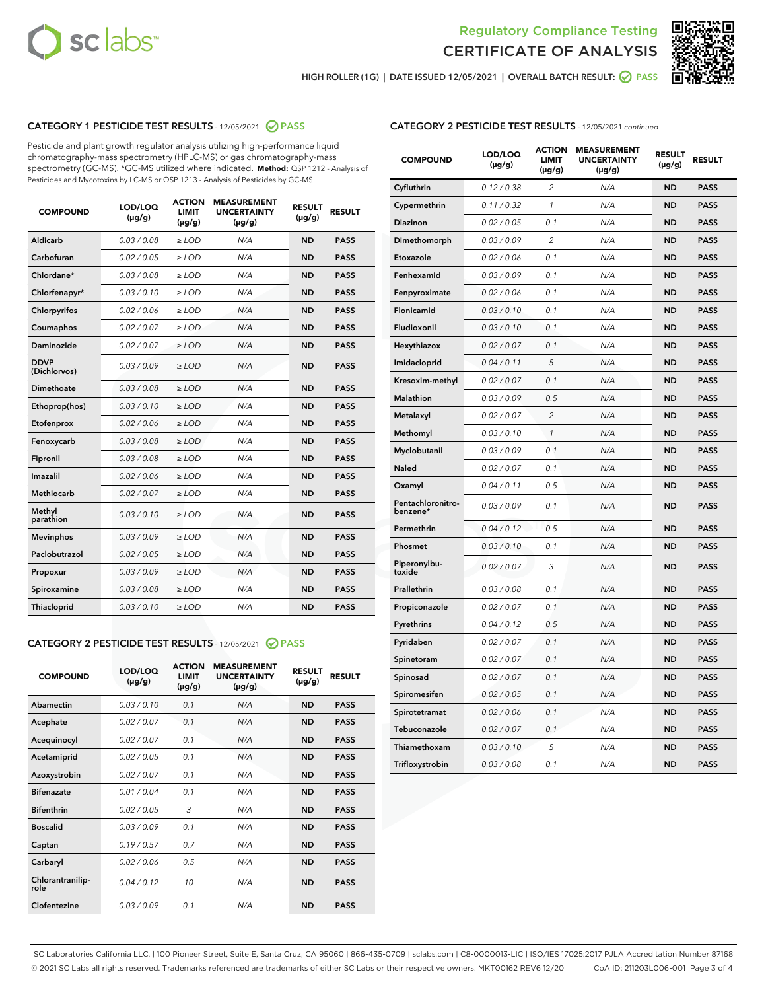



HIGH ROLLER (1G) | DATE ISSUED 12/05/2021 | OVERALL BATCH RESULT: 2 PASS

# CATEGORY 1 PESTICIDE TEST RESULTS - 12/05/2021 2 PASS

Pesticide and plant growth regulator analysis utilizing high-performance liquid chromatography-mass spectrometry (HPLC-MS) or gas chromatography-mass spectrometry (GC-MS). \*GC-MS utilized where indicated. **Method:** QSP 1212 - Analysis of Pesticides and Mycotoxins by LC-MS or QSP 1213 - Analysis of Pesticides by GC-MS

| <b>COMPOUND</b>             | LOD/LOQ<br>$(\mu g/g)$ | <b>ACTION</b><br><b>LIMIT</b><br>$(\mu g/g)$ | <b>MEASUREMENT</b><br><b>UNCERTAINTY</b><br>$(\mu g/g)$ | <b>RESULT</b><br>$(\mu g/g)$ | <b>RESULT</b> |
|-----------------------------|------------------------|----------------------------------------------|---------------------------------------------------------|------------------------------|---------------|
| Aldicarb                    | 0.03 / 0.08            | $\geq$ LOD                                   | N/A                                                     | <b>ND</b>                    | <b>PASS</b>   |
| Carbofuran                  | 0.02/0.05              | $\geq$ LOD                                   | N/A                                                     | <b>ND</b>                    | <b>PASS</b>   |
| Chlordane*                  | 0.03 / 0.08            | $\ge$ LOD                                    | N/A                                                     | <b>ND</b>                    | <b>PASS</b>   |
| Chlorfenapyr*               | 0.03/0.10              | $\ge$ LOD                                    | N/A                                                     | <b>ND</b>                    | <b>PASS</b>   |
| Chlorpyrifos                | 0.02 / 0.06            | $\ge$ LOD                                    | N/A                                                     | <b>ND</b>                    | <b>PASS</b>   |
| Coumaphos                   | 0.02 / 0.07            | $\ge$ LOD                                    | N/A                                                     | <b>ND</b>                    | <b>PASS</b>   |
| Daminozide                  | 0.02 / 0.07            | $\ge$ LOD                                    | N/A                                                     | <b>ND</b>                    | <b>PASS</b>   |
| <b>DDVP</b><br>(Dichlorvos) | 0.03/0.09              | $\ge$ LOD                                    | N/A                                                     | <b>ND</b>                    | <b>PASS</b>   |
| Dimethoate                  | 0.03 / 0.08            | $\ge$ LOD                                    | N/A                                                     | <b>ND</b>                    | <b>PASS</b>   |
| Ethoprop(hos)               | 0.03/0.10              | $\ge$ LOD                                    | N/A                                                     | <b>ND</b>                    | <b>PASS</b>   |
| Etofenprox                  | 0.02/0.06              | $\ge$ LOD                                    | N/A                                                     | <b>ND</b>                    | <b>PASS</b>   |
| Fenoxycarb                  | 0.03/0.08              | $\ge$ LOD                                    | N/A                                                     | <b>ND</b>                    | <b>PASS</b>   |
| Fipronil                    | 0.03/0.08              | $\ge$ LOD                                    | N/A                                                     | <b>ND</b>                    | <b>PASS</b>   |
| Imazalil                    | 0.02 / 0.06            | $\ge$ LOD                                    | N/A                                                     | <b>ND</b>                    | <b>PASS</b>   |
| <b>Methiocarb</b>           | 0.02 / 0.07            | $\ge$ LOD                                    | N/A                                                     | <b>ND</b>                    | <b>PASS</b>   |
| Methyl<br>parathion         | 0.03/0.10              | $\ge$ LOD                                    | N/A                                                     | <b>ND</b>                    | <b>PASS</b>   |
| <b>Mevinphos</b>            | 0.03/0.09              | $\ge$ LOD                                    | N/A                                                     | <b>ND</b>                    | <b>PASS</b>   |
| Paclobutrazol               | 0.02 / 0.05            | $\ge$ LOD                                    | N/A                                                     | <b>ND</b>                    | <b>PASS</b>   |
| Propoxur                    | 0.03/0.09              | $\ge$ LOD                                    | N/A                                                     | <b>ND</b>                    | <b>PASS</b>   |
| Spiroxamine                 | 0.03 / 0.08            | $\ge$ LOD                                    | N/A                                                     | <b>ND</b>                    | <b>PASS</b>   |
| <b>Thiacloprid</b>          | 0.03/0.10              | $\ge$ LOD                                    | N/A                                                     | <b>ND</b>                    | <b>PASS</b>   |
|                             |                        |                                              |                                                         |                              |               |

# CATEGORY 2 PESTICIDE TEST RESULTS - 12/05/2021 @ PASS

| <b>COMPOUND</b>          | LOD/LOQ<br>$(\mu g/g)$ | <b>ACTION</b><br>LIMIT<br>$(\mu g/g)$ | <b>MEASUREMENT</b><br><b>UNCERTAINTY</b><br>$(\mu g/g)$ | <b>RESULT</b><br>$(\mu g/g)$ | <b>RESULT</b> |
|--------------------------|------------------------|---------------------------------------|---------------------------------------------------------|------------------------------|---------------|
| Abamectin                | 0.03/0.10              | 0.1                                   | N/A                                                     | <b>ND</b>                    | <b>PASS</b>   |
| Acephate                 | 0.02/0.07              | 0.1                                   | N/A                                                     | <b>ND</b>                    | <b>PASS</b>   |
| Acequinocyl              | 0.02/0.07              | 0.1                                   | N/A                                                     | <b>ND</b>                    | <b>PASS</b>   |
| Acetamiprid              | 0.02/0.05              | 0.1                                   | N/A                                                     | <b>ND</b>                    | <b>PASS</b>   |
| Azoxystrobin             | 0.02/0.07              | 0.1                                   | N/A                                                     | <b>ND</b>                    | <b>PASS</b>   |
| <b>Bifenazate</b>        | 0.01/0.04              | 0.1                                   | N/A                                                     | <b>ND</b>                    | <b>PASS</b>   |
| <b>Bifenthrin</b>        | 0.02/0.05              | 3                                     | N/A                                                     | <b>ND</b>                    | <b>PASS</b>   |
| <b>Boscalid</b>          | 0.03/0.09              | 0.1                                   | N/A                                                     | <b>ND</b>                    | <b>PASS</b>   |
| Captan                   | 0.19/0.57              | 0.7                                   | N/A                                                     | <b>ND</b>                    | <b>PASS</b>   |
| Carbaryl                 | 0.02/0.06              | 0.5                                   | N/A                                                     | <b>ND</b>                    | <b>PASS</b>   |
| Chlorantranilip-<br>role | 0.04/0.12              | 10                                    | N/A                                                     | <b>ND</b>                    | <b>PASS</b>   |
| Clofentezine             | 0.03/0.09              | 0.1                                   | N/A                                                     | <b>ND</b>                    | <b>PASS</b>   |

# CATEGORY 2 PESTICIDE TEST RESULTS - 12/05/2021 continued

| <b>COMPOUND</b>               | LOD/LOQ<br>(µg/g) | <b>ACTION</b><br><b>LIMIT</b><br>$(\mu g/g)$ | <b>MEASUREMENT</b><br><b>UNCERTAINTY</b><br>$(\mu g/g)$ | <b>RESULT</b><br>(µg/g) | <b>RESULT</b> |
|-------------------------------|-------------------|----------------------------------------------|---------------------------------------------------------|-------------------------|---------------|
| Cyfluthrin                    | 0.12 / 0.38       | $\overline{c}$                               | N/A                                                     | <b>ND</b>               | <b>PASS</b>   |
| Cypermethrin                  | 0.11 / 0.32       | 1                                            | N/A                                                     | ND                      | <b>PASS</b>   |
| <b>Diazinon</b>               | 0.02 / 0.05       | 0.1                                          | N/A                                                     | ND                      | <b>PASS</b>   |
| Dimethomorph                  | 0.03 / 0.09       | 2                                            | N/A                                                     | ND                      | PASS          |
| Etoxazole                     | 0.02 / 0.06       | 0.1                                          | N/A                                                     | ND                      | <b>PASS</b>   |
| Fenhexamid                    | 0.03 / 0.09       | 0.1                                          | N/A                                                     | <b>ND</b>               | <b>PASS</b>   |
| Fenpyroximate                 | 0.02 / 0.06       | 0.1                                          | N/A                                                     | ND                      | <b>PASS</b>   |
| Flonicamid                    | 0.03 / 0.10       | 0.1                                          | N/A                                                     | ND                      | <b>PASS</b>   |
| Fludioxonil                   | 0.03 / 0.10       | 0.1                                          | N/A                                                     | <b>ND</b>               | <b>PASS</b>   |
| Hexythiazox                   | 0.02 / 0.07       | 0.1                                          | N/A                                                     | <b>ND</b>               | <b>PASS</b>   |
| Imidacloprid                  | 0.04 / 0.11       | 5                                            | N/A                                                     | ND                      | <b>PASS</b>   |
| Kresoxim-methyl               | 0.02 / 0.07       | 0.1                                          | N/A                                                     | <b>ND</b>               | <b>PASS</b>   |
| <b>Malathion</b>              | 0.03 / 0.09       | 0.5                                          | N/A                                                     | <b>ND</b>               | <b>PASS</b>   |
| Metalaxyl                     | 0.02 / 0.07       | $\overline{c}$                               | N/A                                                     | ND                      | <b>PASS</b>   |
| Methomyl                      | 0.03 / 0.10       | 1                                            | N/A                                                     | <b>ND</b>               | <b>PASS</b>   |
| Myclobutanil                  | 0.03 / 0.09       | 0.1                                          | N/A                                                     | ND                      | <b>PASS</b>   |
| Naled                         | 0.02 / 0.07       | 0.1                                          | N/A                                                     | ND                      | <b>PASS</b>   |
| Oxamyl                        | 0.04 / 0.11       | 0.5                                          | N/A                                                     | ND                      | <b>PASS</b>   |
| Pentachloronitro-<br>benzene* | 0.03 / 0.09       | 0.1                                          | N/A                                                     | ND                      | <b>PASS</b>   |
| Permethrin                    | 0.04 / 0.12       | 0.5                                          | N/A                                                     | ND                      | <b>PASS</b>   |
| Phosmet                       | 0.03 / 0.10       | 0.1                                          | N/A                                                     | <b>ND</b>               | <b>PASS</b>   |
| Piperonylbu-<br>toxide        | 0.02 / 0.07       | 3                                            | N/A                                                     | ND                      | <b>PASS</b>   |
| Prallethrin                   | 0.03 / 0.08       | 0.1                                          | N/A                                                     | <b>ND</b>               | <b>PASS</b>   |
| Propiconazole                 | 0.02 / 0.07       | 0.1                                          | N/A                                                     | ND                      | <b>PASS</b>   |
| Pyrethrins                    | 0.04 / 0.12       | 0.5                                          | N/A                                                     | ND                      | <b>PASS</b>   |
| Pyridaben                     | 0.02 / 0.07       | 0.1                                          | N/A                                                     | ND                      | <b>PASS</b>   |
| Spinetoram                    | 0.02 / 0.07       | 0.1                                          | N/A                                                     | <b>ND</b>               | <b>PASS</b>   |
| Spinosad                      | 0.02 / 0.07       | 0.1                                          | N/A                                                     | ND                      | <b>PASS</b>   |
| Spiromesifen                  | 0.02 / 0.05       | 0.1                                          | N/A                                                     | <b>ND</b>               | <b>PASS</b>   |
| Spirotetramat                 | 0.02 / 0.06       | 0.1                                          | N/A                                                     | ND                      | <b>PASS</b>   |
| Tebuconazole                  | 0.02 / 0.07       | 0.1                                          | N/A                                                     | ND                      | <b>PASS</b>   |
| Thiamethoxam                  | 0.03 / 0.10       | 5                                            | N/A                                                     | <b>ND</b>               | <b>PASS</b>   |
| Trifloxystrobin               | 0.03 / 0.08       | 0.1                                          | N/A                                                     | <b>ND</b>               | <b>PASS</b>   |

SC Laboratories California LLC. | 100 Pioneer Street, Suite E, Santa Cruz, CA 95060 | 866-435-0709 | sclabs.com | C8-0000013-LIC | ISO/IES 17025:2017 PJLA Accreditation Number 87168 © 2021 SC Labs all rights reserved. Trademarks referenced are trademarks of either SC Labs or their respective owners. MKT00162 REV6 12/20 CoA ID: 211203L006-001 Page 3 of 4